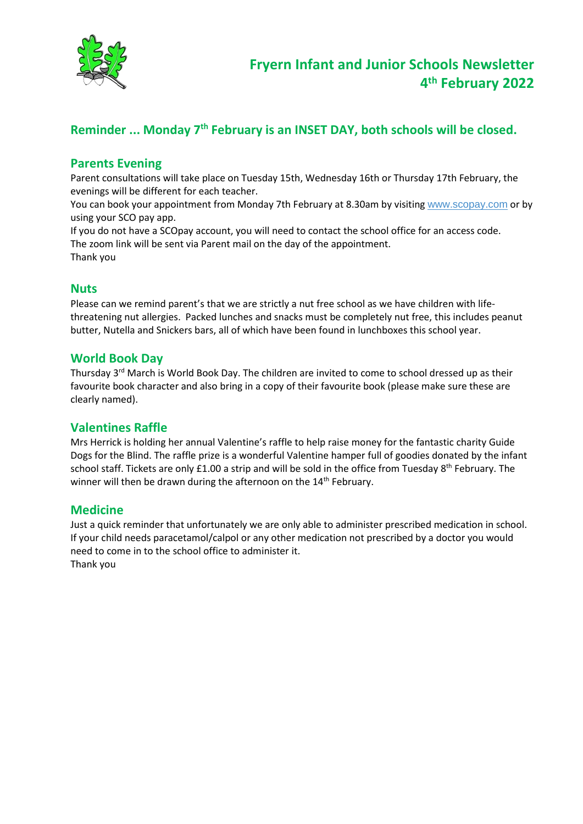

## **Reminder ... Monday 7th February is an INSET DAY, both schools will be closed.**

### **Parents Evening**

Parent consultations will take place on Tuesday 15th, Wednesday 16th or Thursday 17th February, the evenings will be different for each teacher.

You can book your appointment from Monday 7th February at 8.30am by visiting [www.scopay.com](http://www.scopay.com/) or by using your SCO pay app.

If you do not have a SCOpay account, you will need to contact the school office for an access code. The zoom link will be sent via Parent mail on the day of the appointment. Thank you

#### **Nuts**

Please can we remind parent's that we are strictly a nut free school as we have children with lifethreatening nut allergies. Packed lunches and snacks must be completely nut free, this includes peanut butter, Nutella and Snickers bars, all of which have been found in lunchboxes this school year.

#### **World Book Day**

Thursday 3rd March is World Book Day. The children are invited to come to school dressed up as their favourite book character and also bring in a copy of their favourite book (please make sure these are clearly named).

#### **Valentines Raffle**

Mrs Herrick is holding her annual Valentine's raffle to help raise money for the fantastic charity Guide Dogs for the Blind. The raffle prize is a wonderful Valentine hamper full of goodies donated by the infant school staff. Tickets are only £1.00 a strip and will be sold in the office from Tuesday 8<sup>th</sup> February. The winner will then be drawn during the afternoon on the 14<sup>th</sup> February.

#### **Medicine**

Just a quick reminder that unfortunately we are only able to administer prescribed medication in school. If your child needs paracetamol/calpol or any other medication not prescribed by a doctor you would need to come in to the school office to administer it. Thank you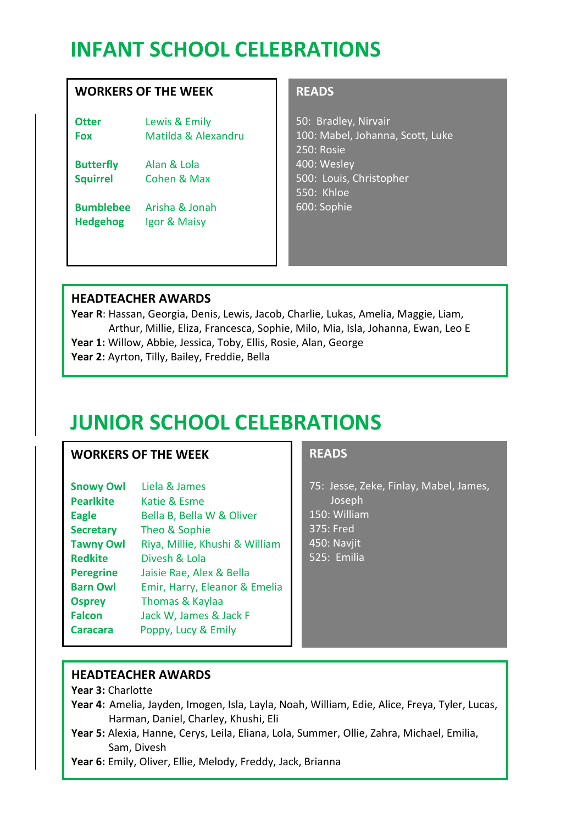# **INFANT SCHOOL CELEBRATIONS**

### **WORKERS OF THE WEEK**

**Otter** Lewis & Emily **Fox** Matilda & Alexandru

**Butterfly** Alan & Lola **Squirrel** Cohen & Max

**Bumblebee** Arisha & Jonah **Hedgehog** Igor & Maisy

## **READS**

50: Bradley, Nirvair 100: Mabel, Johanna, Scott, Luke 250: Rosie 400: Wesley 500: Louis, Christopher 550: Khloe 600: Sophie

## **HEADTEACHER AWARDS**

**Year R**: Hassan, Georgia, Denis, Lewis, Jacob, Charlie, Lukas, Amelia, Maggie, Liam, Arthur, Millie, Eliza, Francesca, Sophie, Milo, Mia, Isla, Johanna, Ewan, Leo E

**Year 1:** Willow, Abbie, Jessica, Toby, Ellis, Rosie, Alan, George

**Year 2:** Ayrton, Tilly, Bailey, Freddie, Bella

# **JUNIOR SCHOOL CELEBRATIONS**

### **WORKERS OF THE WEEK**

| <b>Snowy Owl</b> | Liela & James                  |
|------------------|--------------------------------|
| <b>Pearlkite</b> | Katie & Esme                   |
| <b>Eagle</b>     | Bella B, Bella W & Oliver      |
| <b>Secretary</b> | Theo & Sophie                  |
| <b>Tawny Owl</b> | Riya, Millie, Khushi & William |
| <b>Redkite</b>   | Divesh & Lola                  |
| <b>Peregrine</b> | Jaisie Rae, Alex & Bella       |
| <b>Barn Owl</b>  | Emir, Harry, Eleanor & Emelia  |
| <b>Osprey</b>    | Thomas & Kaylaa                |
| <b>Falcon</b>    | Jack W, James & Jack F         |
| <b>Caracara</b>  | Poppy, Lucy & Emily            |

#### **READS**

75: Jesse, Zeke, Finlay, Mabel, James, Joseph

- 150: William
- 375: Fred
- 450: Navjit
- 525: Emilia

### **HEADTEACHER AWARDS**

**Year 3:** Charlotte

- **Year 4:** Amelia, Jayden, Imogen, Isla, Layla, Noah, William, Edie, Alice, Freya, Tyler, Lucas, Harman, Daniel, Charley, Khushi, Eli
- **Year 5:** Alexia, Hanne, Cerys, Leila, Eliana, Lola, Summer, Ollie, Zahra, Michael, Emilia, Sam, Divesh

**Year 6:** Emily, Oliver, Ellie, Melody, Freddy, Jack, Brianna